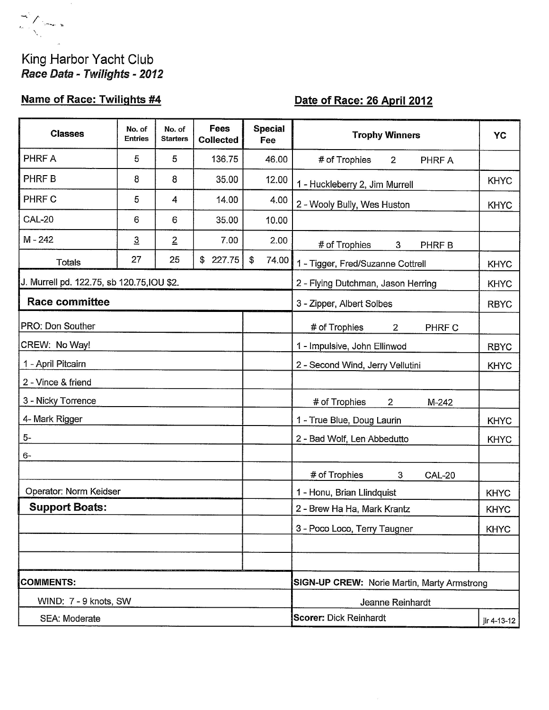## King Harbor Yacht Club Race Data - Twilights - 2012

# **Name of Race: Twilights #4**

# Date of Race: 26 April 2012

| <b>Classes</b>                             | No. of<br><b>Entries</b> | No. of<br><b>Starters</b> | Fees<br><b>Collected</b> | <b>Special</b><br>Fee                       | <b>Trophy Winners</b>                          | YC          |  |
|--------------------------------------------|--------------------------|---------------------------|--------------------------|---------------------------------------------|------------------------------------------------|-------------|--|
| PHRF A                                     | 5                        | 5                         | 136.75                   | 46.00                                       | # of Trophies<br>$\overline{2}$<br>PHRF A      |             |  |
| PHRF <sub>B</sub>                          | 8                        | 8                         | 35.00                    | 12.00                                       | 1 - Huckleberry 2, Jim Murrell                 | <b>KHYC</b> |  |
| PHRF C                                     | 5                        | 4                         | 14.00                    | 4.00                                        | 2 - Wooly Bully, Wes Huston                    | <b>KHYC</b> |  |
| <b>CAL-20</b>                              | 6                        | 6                         | 35.00                    | 10.00                                       |                                                |             |  |
| $M - 242$                                  | $\overline{3}$           | $\overline{2}$            | 7.00                     | 2.00                                        | # of Trophies<br>PHRF B<br>3                   |             |  |
| <b>Totals</b>                              | 27                       | 25                        | \$227.75                 | \$<br>74.00                                 | 1 - Tigger, Fred/Suzanne Cottrell              | <b>KHYC</b> |  |
| J. Murrell pd. 122.75, sb 120.75, IOU \$2. |                          |                           |                          | 2 - Flying Dutchman, Jason Herring          | <b>KHYC</b>                                    |             |  |
| <b>Race committee</b>                      |                          |                           |                          | 3 - Zipper, Albert Solbes                   |                                                |             |  |
| PRO: Don Souther                           |                          |                           |                          |                                             | # of Trophies<br>2<br>PHRF C                   |             |  |
| CREW: No Way!                              |                          |                           |                          |                                             | 1 - Impulsive, John Ellinwod                   | <b>RBYC</b> |  |
| 1 - April Pitcairn                         |                          |                           |                          |                                             | 2 - Second Wind, Jerry Vellutini               | <b>KHYC</b> |  |
| 2 - Vince & friend                         |                          |                           |                          |                                             |                                                |             |  |
| 3 - Nicky Torrence                         |                          |                           |                          |                                             | # of Trophies<br>$\overline{2}$<br>M-242       |             |  |
| 4- Mark Rigger                             |                          |                           |                          |                                             | 1 - True Blue, Doug Laurin                     | <b>KHYC</b> |  |
| $5-$                                       |                          |                           |                          |                                             | 2 - Bad Wolf, Len Abbedutto                    | <b>KHYC</b> |  |
| $6-$                                       |                          |                           |                          |                                             |                                                |             |  |
|                                            |                          |                           |                          |                                             | # of Trophies<br>$\mathbf{3}$<br><b>CAL-20</b> |             |  |
| Operator: Norm Keidser                     |                          |                           |                          |                                             | 1 - Honu, Brian Llindquist                     | <b>KHYC</b> |  |
| <b>Support Boats:</b>                      |                          |                           |                          |                                             | 2 - Brew Ha Ha, Mark Krantz                    | <b>KHYC</b> |  |
|                                            |                          |                           |                          |                                             | 3 - Poco Loco, Terry Taugner                   | <b>KHYC</b> |  |
|                                            |                          |                           |                          |                                             |                                                |             |  |
|                                            |                          |                           |                          |                                             |                                                |             |  |
| <b>COMMENTS:</b>                           |                          |                           |                          | SIGN-UP CREW: Norie Martin, Marty Armstrong |                                                |             |  |
| WIND: 7 - 9 knots, SW                      |                          |                           |                          |                                             | Jeanne Reinhardt                               |             |  |
| SEA: Moderate                              |                          |                           |                          |                                             | <b>Scorer: Dick Reinhardt</b>                  | jlr 4-13-12 |  |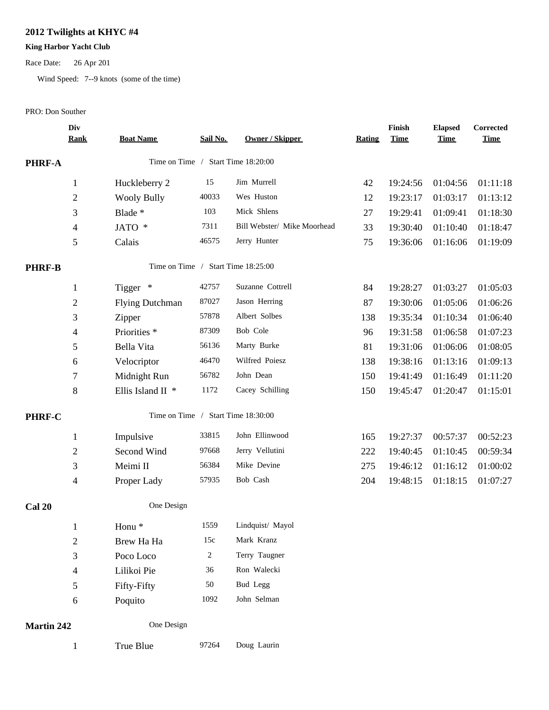## **2012 Twilights at KHYC #4**

### **King Harbor Yacht Club**

Race Date: 26 Apr 201

Wind Speed: 7--9 knots (some of the time)

#### PRO: Don Souther

|                   | Div<br><b>Rank</b> | <b>Boat Name</b>        | Sail No.       | <b>Owner / Skipper</b>             | <b>Rating</b> | Finish<br><b>Time</b> | <b>Elapsed</b><br><b>Time</b> | Corrected<br><b>Time</b> |
|-------------------|--------------------|-------------------------|----------------|------------------------------------|---------------|-----------------------|-------------------------------|--------------------------|
| <b>PHRF-A</b>     |                    |                         |                | Time on Time / Start Time 18:20:00 |               |                       |                               |                          |
|                   | $\mathbf{1}$       | Huckleberry 2           | 15             | Jim Murrell                        | 42            | 19:24:56              | 01:04:56                      | 01:11:18                 |
|                   | $\boldsymbol{2}$   | <b>Wooly Bully</b>      | 40033          | Wes Huston                         | 12            | 19:23:17              | 01:03:17                      | 01:13:12                 |
|                   | 3                  | Blade *                 | 103            | Mick Shlens                        | 27            | 19:29:41              | 01:09:41                      | 01:18:30                 |
|                   | $\overline{4}$     | JATO *                  | 7311           | Bill Webster/ Mike Moorhead        | 33            | 19:30:40              | 01:10:40                      | 01:18:47                 |
|                   | $\mathfrak s$      | Calais                  | 46575          | Jerry Hunter                       | 75            | 19:36:06              | 01:16:06                      | 01:19:09                 |
| <b>PHRF-B</b>     |                    |                         |                | Time on Time / Start Time 18:25:00 |               |                       |                               |                          |
|                   | $\mathbf{1}$       | Tigger *                | 42757          | Suzanne Cottrell                   | 84            | 19:28:27              | 01:03:27                      | 01:05:03                 |
|                   | $\overline{c}$     | <b>Flying Dutchman</b>  | 87027          | Jason Herring                      | 87            | 19:30:06              | 01:05:06                      | 01:06:26                 |
|                   | $\mathfrak{Z}$     | Zipper                  | 57878          | Albert Solbes                      | 138           | 19:35:34              | 01:10:34                      | 01:06:40                 |
|                   | 4                  | Priorities <sup>*</sup> | 87309          | Bob Cole                           | 96            | 19:31:58              | 01:06:58                      | 01:07:23                 |
|                   | 5                  | Bella Vita              | 56136          | Marty Burke                        | 81            | 19:31:06              | 01:06:06                      | 01:08:05                 |
|                   | 6                  | Velocriptor             | 46470          | Wilfred Poiesz                     | 138           | 19:38:16              | 01:13:16                      | 01:09:13                 |
|                   | $\tau$             | Midnight Run            | 56782          | John Dean                          | 150           | 19:41:49              | 01:16:49                      | 01:11:20                 |
|                   | 8                  | Ellis Island II *       | 1172           | Cacey Schilling                    | 150           | 19:45:47              | 01:20:47                      | 01:15:01                 |
| PHRF-C            |                    |                         |                | Time on Time / Start Time 18:30:00 |               |                       |                               |                          |
|                   | $\mathbf{1}$       | Impulsive               | 33815          | John Ellinwood                     | 165           | 19:27:37              | 00:57:37                      | 00:52:23                 |
|                   | $\overline{c}$     | Second Wind             | 97668          | Jerry Vellutini                    | 222           | 19:40:45              | 01:10:45                      | 00:59:34                 |
|                   | 3                  | Meimi II                | 56384          | Mike Devine                        | 275           | 19:46:12              | 01:16:12                      | 01:00:02                 |
|                   | $\overline{4}$     | Proper Lady             | 57935          | Bob Cash                           | 204           | 19:48:15              | 01:18:15                      | 01:07:27                 |
| <b>Cal 20</b>     |                    | One Design              |                |                                    |               |                       |                               |                          |
|                   | $\mathbf{1}$       | Honu <sup>*</sup>       | 1559           | Lindquist/ Mayol                   |               |                       |                               |                          |
|                   | $\overline{c}$     | Brew Ha Ha              | 15c            | Mark Kranz                         |               |                       |                               |                          |
|                   | 3                  | Poco Loco               | $\overline{c}$ | Terry Taugner                      |               |                       |                               |                          |
|                   | $\overline{4}$     | Lilikoi Pie             | 36             | Ron Walecki                        |               |                       |                               |                          |
|                   | 5                  | Fifty-Fifty             | 50             | Bud Legg                           |               |                       |                               |                          |
|                   | 6                  | Poquito                 | 1092           | John Selman                        |               |                       |                               |                          |
| <b>Martin 242</b> |                    | One Design              |                |                                    |               |                       |                               |                          |
|                   | $\mathbf{1}$       | True Blue               | 97264          | Doug Laurin                        |               |                       |                               |                          |
|                   |                    |                         |                |                                    |               |                       |                               |                          |